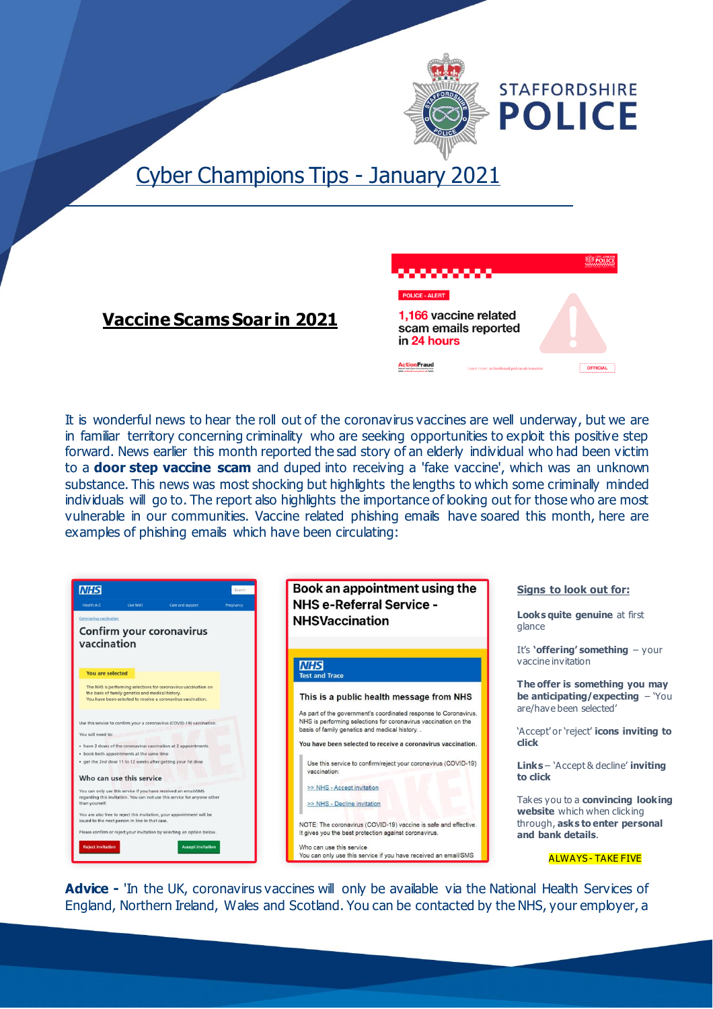

# Cyber Champions Tips - January 2021



### **Vaccine Scams Soar in 2021**

It is wonderful news to hear the roll out of the coronavirus vaccines are well underway, but we are in familiar territory concerning criminality who are seeking opportunities to exploit this positive step forward. News earlier this month reported the sad story of an elderly individual who had been victim to a **door step vaccine scam** and duped into receiving a 'fake vaccine', which was an unknown substance. This news was most shocking but highlights the lengths to which some criminally minded individuals will go to. The report also highlights the importance of looking out for those who are most vulnerable in our communities. Vaccine related phishing emails have soared this month, here are examples of phishing emails which have been circulating:





NOTE: The coronavirus (COVID-19) vaccine is safe and effective. It gives you the best protection against coronavirus. Who can use this service

You can only use this service if you have received an email/SMS

**Signs to look out for:**

**Looks quite genuine** at first glance

It's **'offering' something** – your vaccine invitation

**The offer is something you may be anticipating/expecting - You** are/have been selected'

'Accept' or 'reject' **icons inviting to click**

**Links** – 'Accept & decline' **inviting to click**

Takes you to a **convincing looking website** which when clicking through, **asks to enter personal and bank details**.

ALWAYS - TAKE FIVE

Advice - 'In the UK, coronavirus vaccines will only be available via the National Health Services of England, Northern Ireland, Wales and Scotland. You can be contacted by the NHS, your employer, a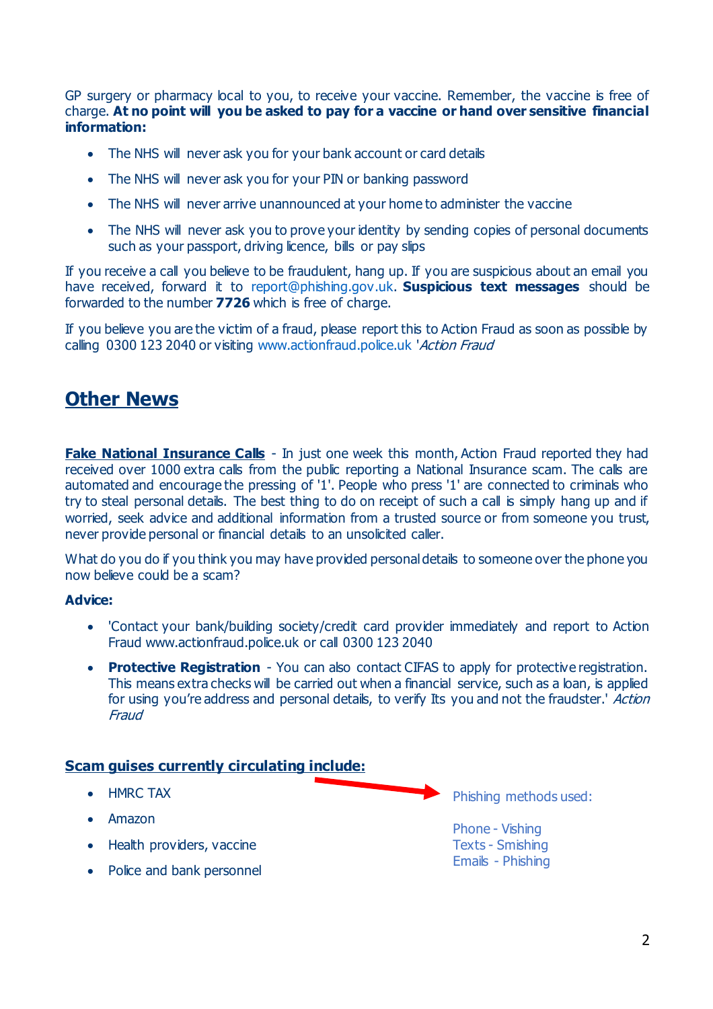GP surgery or pharmacy local to you, to receive your vaccine. Remember, the vaccine is free of charge. **At no point will you be asked to pay for a vaccine or hand over sensitive financial information:**

- The NHS will never ask you for your bank account or card details
- The NHS will never ask you for your PIN or banking password
- The NHS will never arrive unannounced at your home to administer the vaccine
- The NHS will never ask you to prove your identity by sending copies of personal documents such as your passport, driving licence, bills or pay slips

If you receive a call you believe to be fraudulent, hang up. If you are suspicious about an email you have received, forward it to [report@phishing.gov.uk](mailto:report@phishing.gov.uk). **Suspicious text messages** should be forwarded to the number **7726** which is free of charge.

If you believe you are the victim of a fraud, please report this to Action Fraud as soon as possible by calling 0300 123 2040 or visiting [www.actionfraud.police.uk](http://www.actionfraud.police.uk/) 'Action Fraud

### **Other News**

**Fake National Insurance Calls** - In just one week this month, Action Fraud reported they had received over 1000 extra calls from the public reporting a National Insurance scam. The calls are automated and encourage the pressing of '1'. People who press '1' are connected to criminals who try to steal personal details. The best thing to do on receipt of such a call is simply hang up and if worried, seek advice and additional information from a trusted source or from someone you trust, never provide personal or financial details to an unsolicited caller.

What do you do if you think you may have provided personal details to someone over the phone you now believe could be a scam?

#### **Advice:**

- 'Contact your bank/building society/credit card provider immediately and report to Action Fraud www.actionfraud.police.uk or call 0300 123 2040
- **Protective Registration** You can also contact CIFAS to apply for protective registration. This means extra checks will be carried out when a financial service, such as a loan, is applied for using you're address and personal details, to verify Its you and not the fraudster.' Action **Fraud**

#### **Scam guises currently circulating include:**

- HMRC TAX
- Amazon
- Health providers, vaccine
- Police and bank personnel

Phishing methods used:

Phone - Vishing Texts - Smishing Emails - Phishing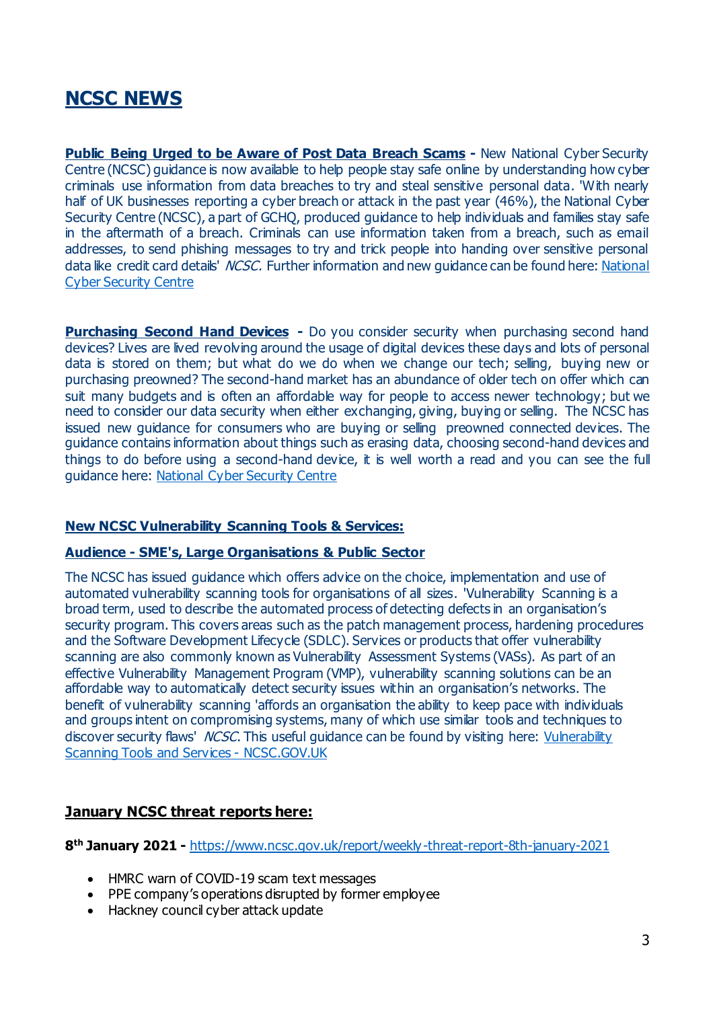## **NCSC NEWS**

**Public Being Urged to be Aware of Post Data Breach Scams - New National Cyber Security** Centre (NCSC) guidance is now available to help people stay safe online by understanding how cyber criminals use information from data breaches to try and steal sensitive personal data. 'With nearly half of UK businesses reporting a cyber breach or attack in the past year (46%), the National Cyber Security Centre (NCSC), a part of GCHQ, produced guidance to help individuals and families stay safe in the aftermath of a breach. Criminals can use information taken from a breach, such as email addresses, to send phishing messages to try and trick people into handing over sensitive personal data like credit card details' *NCSC*. Further information and new guidance can be found here: National [Cyber Security Centre](https://www.ncsc.gov.uk/guidance/data-breaches)

**Purchasing Second Hand Devices -** Do you consider security when purchasing second hand devices? Lives are lived revolving around the usage of digital devices these days and lots of personal data is stored on them; but what do we do when we change our tech; selling, buying new or purchasing preowned? The second-hand market has an abundance of older tech on offer which can suit many budgets and is often an affordable way for people to access newer technology; but we need to consider our data security when either exchanging, giving, buying or selling. The NCSC has issued new guidance for consumers who are buying or selling preowned connected devices. The guidance contains information about things such as erasing data, choosing second-hand devices and things to do before using a second-hand device, it is well worth a read and you can see the full guidance here: [National Cyber Security Centre](https://www.ncsc.gov.uk/guidance/buying-selling-second-hand-devices)

#### **New NCSC Vulnerability Scanning Tools & Services:**

#### **Audience - SME's, Large Organisations & Public Sector**

The NCSC has issued guidance which offers advice on the choice, implementation and use of automated vulnerability scanning tools for organisations of all sizes. 'Vulnerability Scanning is a broad term, used to describe the automated process of detecting defects in an organisation's security program. This covers areas such as the patch management process, hardening procedures and the Software Development Lifecycle (SDLC). Services or products that offer vulnerability scanning are also commonly known as Vulnerability Assessment Systems (VASs). As part of an effective Vulnerability Management Program (VMP), vulnerability scanning solutions can be an affordable way to automatically detect security issues within an organisation's networks. The benefit of vulnerability scanning 'affords an organisation the ability to keep pace with individuals and groups intent on compromising systems, many of which use similar tools and techniques to discover security flaws' *NCSC*. This useful guidance can be found by visiting here: Vulnerability [Scanning Tools and Services -](https://www.ncsc.gov.uk/guidance/vulnerability-scanning-tools-and-services) NCSC.GOV.UK

#### **January NCSC threat reports here:**

**8 th January 2021 -** <https://www.ncsc.gov.uk/report/weekly-threat-report-8th-january-2021>

- HMRC warn of COVID-19 scam text messages
- PPE company's operations disrupted by former employee
- Hackney council cyber attack update